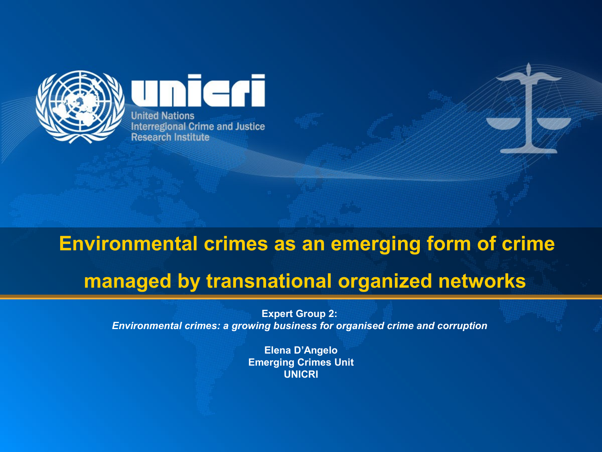

Teri **United Nations Interregional Crime and Justice Research Institute** 

## **Environmental crimes as an emerging form of crime managed by transnational organized networks**

**Expert Group 2:**  *Environmental crimes: a growing business for organised crime and corruption*

> **Elena D'Angelo Emerging Crimes Unit UNICRI**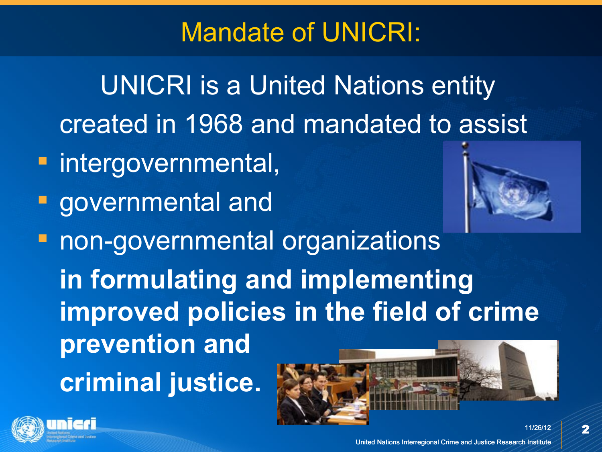## Mandate of UNICRI:

UNICRI is a United Nations entity created in 1968 and mandated to assist

- **F** intergovernmental,
- **governmental and**



 $\overline{\mathbf{2}}$ 

**- non-governmental organizations in formulating and implementing improved policies in the field of crime prevention and criminal justice.** 

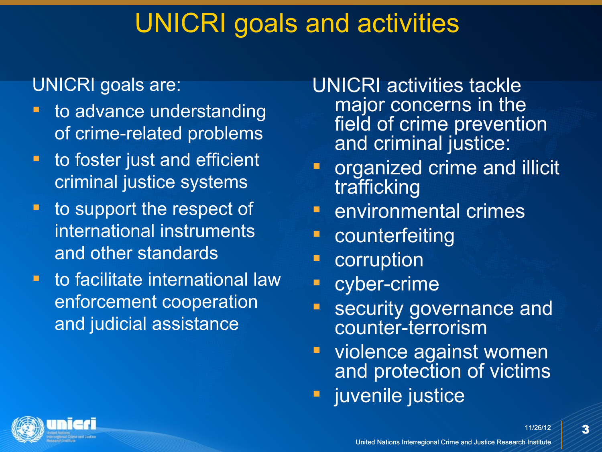### UNICRI goals and activities

#### UNICRI goals are:

- to advance understanding of crime-related problems
- **there** in the formulation to foster just and efficient criminal justice systems
- **to support the respect of** international instruments and other standards
- **tio facilitate international law** enforcement cooperation and judicial assistance
- UNICRI activities tackle major concerns in the field of crime prevention and criminal justice:
- organized crime and illicit trafficking
- environmental crimes
- counterfeiting
- corruption
- **•** cyber-crime
- security governance and counter-terrorism
- **violence against women** and protection of victims
- **u** juvenile justice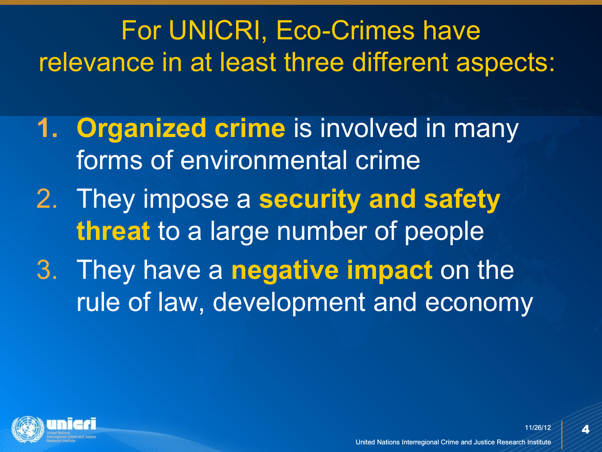For UNICRI, Eco-Crimes have relevance in at least three different aspects:

- **1. Organized crime** is involved in many forms of environmental crime
- 2. They impose a **security and safety threat** to a large number of people
- 3. They have a **negative impact** on the rule of law, development and economy

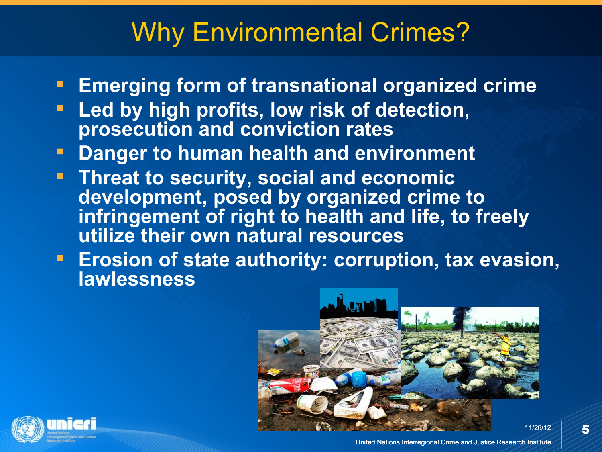### Why Environmental Crimes?

- **Emerging form of transnational organized crime**
- **Led by high profits, low risk of detection, prosecution and conviction rates**
- **Danger to human health and environment**
- **Threat to security, social and economic development, posed by organized crime to infringement of right to health and life, to freely utilize their own natural resources**
- **Examber 1 Erosion of state authority: corruption, tax evasion, lawlessness**



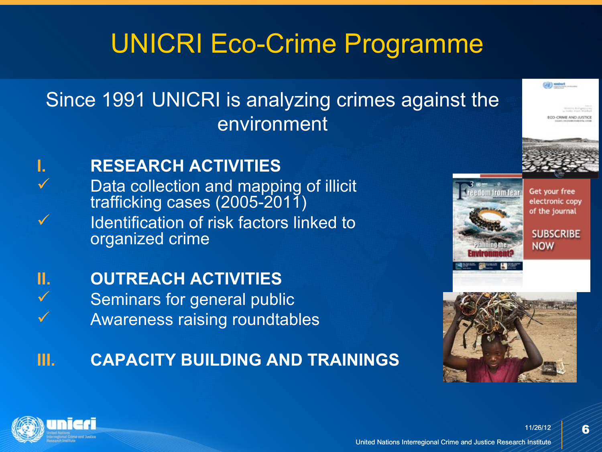# UNICRI Eco-Crime Programme

#### Since 1991 UNICRI is analyzing crimes against the environment



#### **I. RESEARCH ACTIVITIES**

 $\checkmark$  Data collection and mapping of illicit trafficking cases (2005-2011) Identification of risk factors linked to organized crime



#### **II. OUTREACH ACTIVITIES**

 Seminars for general public Awareness raising roundtables

#### **III. CAPACITY BUILDING AND TRAININGS**



Get your free electronic copy of the journal

**SUBSCRIBE NOW** 

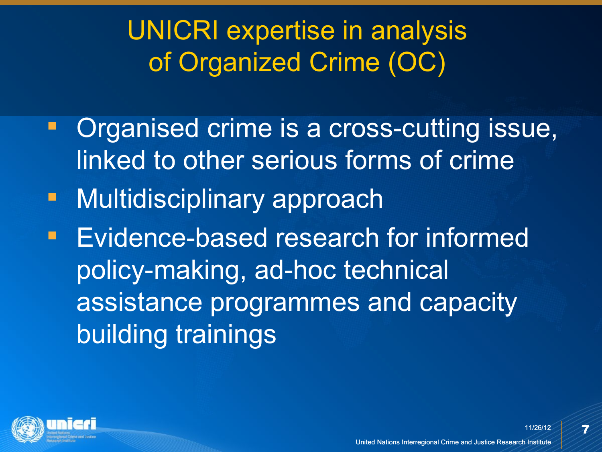# UNICRI expertise in analysis of Organized Crime (OC)

- **Organised crime is a cross-cutting issue,** linked to other serious forms of crime
- **-** Multidisciplinary approach
- **Evidence-based research for informed** policy-making, ad-hoc technical assistance programmes and capacity building trainings

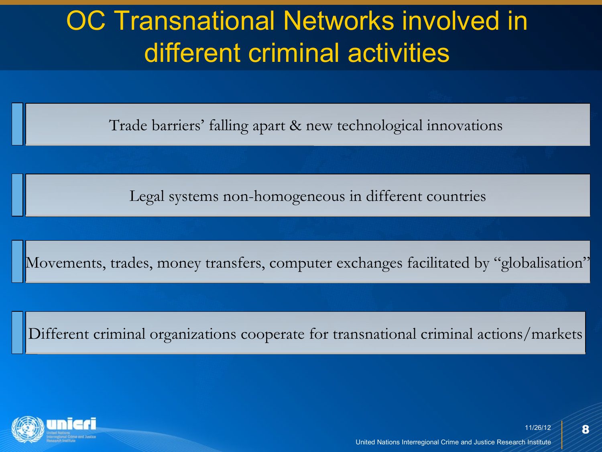# OC Transnational Networks involved in different criminal activities

Trade barriers' falling apart & new technological innovations

Legal systems non-homogeneous in different countries

Movements, trades, money transfers, computer exchanges facilitated by "globalisation"

Different criminal organizations cooperate for transnational criminal actions/markets

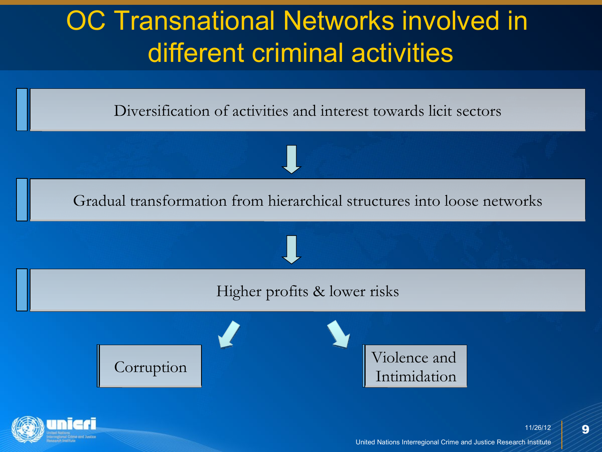

Gradual transformation from hierarchical structures into loose networks



Corruption Violence and Intimidation

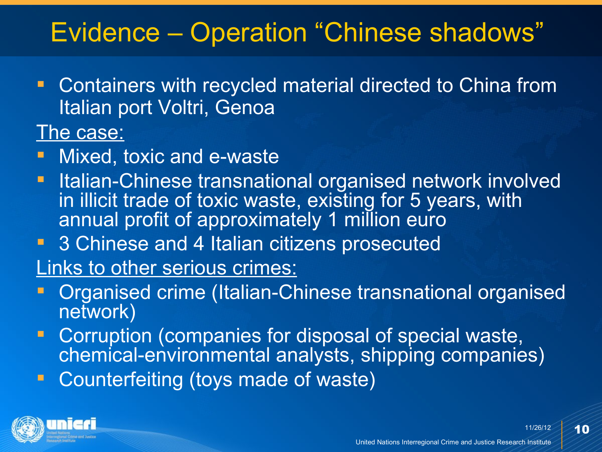### Evidence – Operation "Chinese shadows"

 Containers with recycled material directed to China from Italian port Voltri, Genoa

The case:

- Mixed, toxic and e-waste
- **Italian-Chinese transnational organised network involved** in illicit trade of toxic waste, existing for 5 years, with annual profit of approximately 1 million euro
- **3 Chinese and 4 Italian citizens prosecuted**
- Links to other serious crimes:
- Organised crime (Italian-Chinese transnational organised network)
- **Corruption (companies for disposal of special waste,** chemical-environmental analysts, shipping companies)
- **Counterfeiting (toys made of waste)**

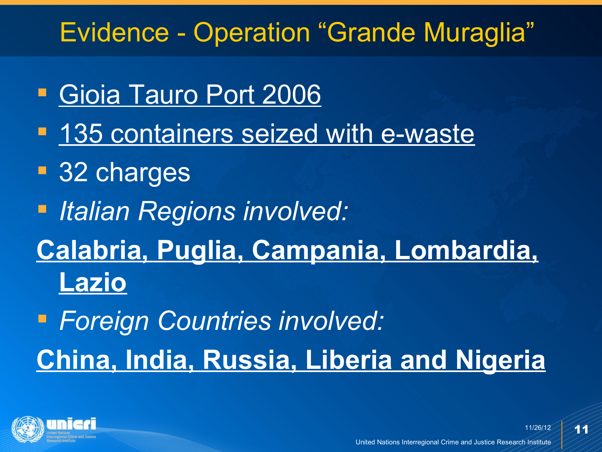## Evidence - Operation "Grande Muraglia"

- Gioia Tauro Port 2006
- **135 containers seized with e-waste**
- **32** charges
- *Italian Regions involved:*
- **Calabria, Puglia, Campania, Lombardia, Lazio**
- *Foreign Countries involved:*  **China, India, Russia, Liberia and Nigeria**



11/26/12 United Nations Interregional Crime and Justice Research Institute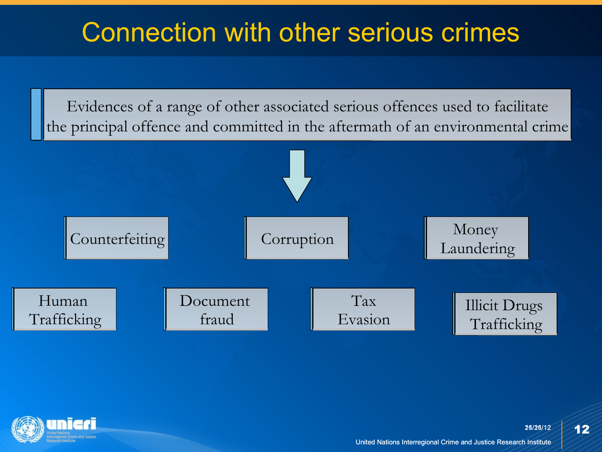### Connection with other serious crimes

Evidences of a range of other associated serious offences used to facilitate the principal offence and committed in the aftermath of an environmental crime



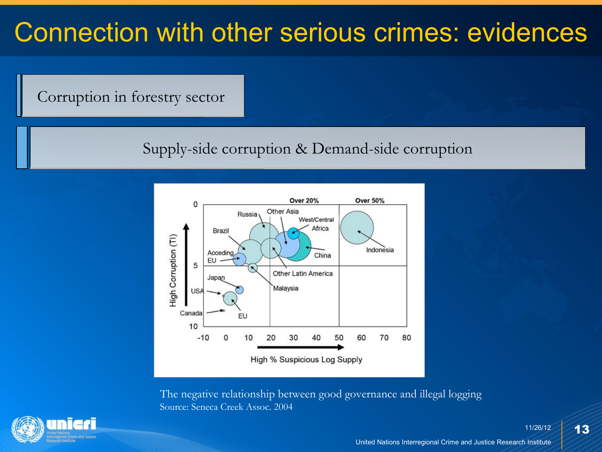Corruption in forestry sector

Supply-side corruption & Demand-side corruption



The negative relationship between good governance and illegal logging Source: Seneca Creek Assoc. 2004

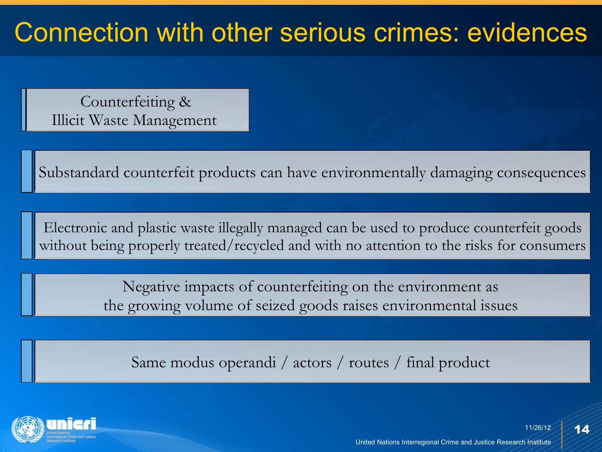Counterfeiting & Illicit Waste Management

Substandard counterfeit products can have environmentally damaging consequences

Electronic and plastic waste illegally managed can be used to produce counterfeit goods without being properly treated/recycled and with no attention to the risks for consumers

> Negative impacts of counterfeiting on the environment as the growing volume of seized goods raises environmental issues

Same modus operandi / actors / routes / final product

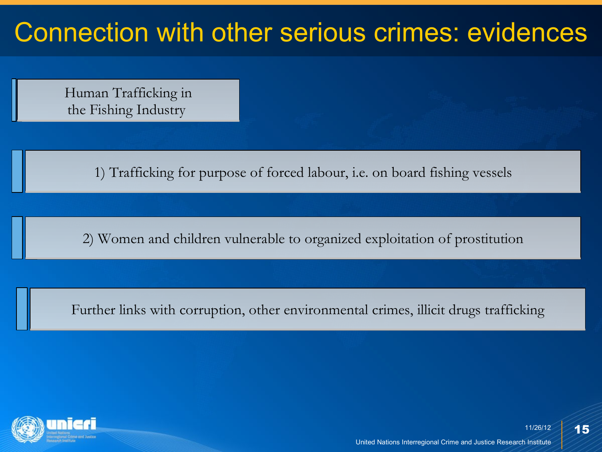Human Trafficking in the Fishing Industry

1) Trafficking for purpose of forced labour, i.e. on board fishing vessels

2) Women and children vulnerable to organized exploitation of prostitution

Further links with corruption, other environmental crimes, illicit drugs trafficking

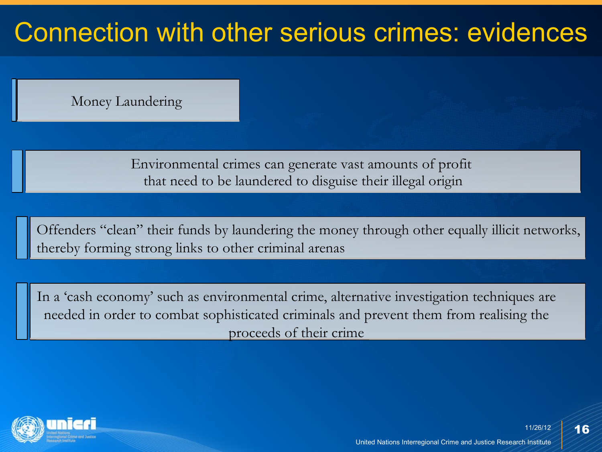Money Laundering

Environmental crimes can generate vast amounts of profit that need to be laundered to disguise their illegal origin

Offenders "clean" their funds by laundering the money through other equally illicit networks, thereby forming strong links to other criminal arenas

In a 'cash economy' such as environmental crime, alternative investigation techniques are needed in order to combat sophisticated criminals and prevent them from realising the proceeds of their crime

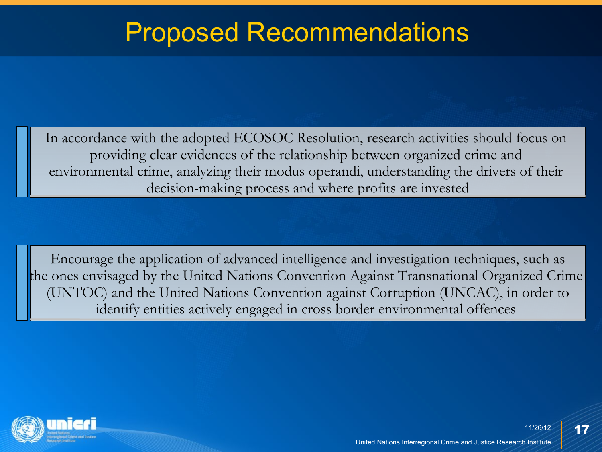#### Proposed Recommendations

In accordance with the adopted ECOSOC Resolution, research activities should focus on providing clear evidences of the relationship between organized crime and environmental crime, analyzing their modus operandi, understanding the drivers of their decision-making process and where profits are invested

Encourage the application of advanced intelligence and investigation techniques, such as the ones envisaged by the United Nations Convention Against Transnational Organized Crime (UNTOC) and the United Nations Convention against Corruption (UNCAC), in order to identify entities actively engaged in cross border environmental offences

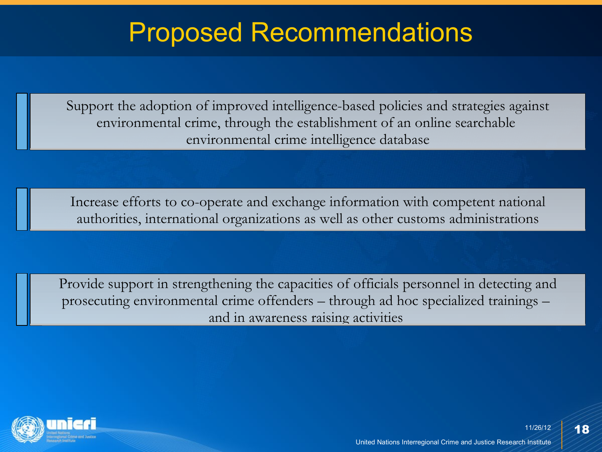#### Proposed Recommendations

Support the adoption of improved intelligence-based policies and strategies against environmental crime, through the establishment of an online searchable environmental crime intelligence database

Increase efforts to co-operate and exchange information with competent national authorities, international organizations as well as other customs administrations

Provide support in strengthening the capacities of officials personnel in detecting and prosecuting environmental crime offenders – through ad hoc specialized trainings – and in awareness raising activities